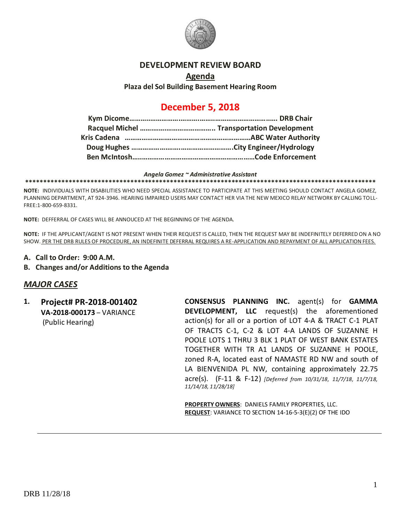

#### **DEVELOPMENT REVIEW BOARD**

# **Agenda**

**Plaza del Sol Building Basement Hearing Room**

## **December 5, 2018**

#### *Angela Gomez ~ Administrative Assistant*

**\*\*\*\*\*\*\*\*\*\*\*\*\*\*\*\*\*\*\*\*\*\*\*\*\*\*\*\*\*\*\*\*\*\*\*\*\*\*\*\*\*\*\*\*\*\*\*\*\*\*\*\*\*\*\*\*\*\*\*\*\*\*\*\*\*\*\*\*\*\*\*\*\*\*\*\*\*\*\*\*\*\*\*\*\*\*\*\*\*\*\*\*\*\*\*\*\***

**NOTE:** INDIVIDUALS WITH DISABILITIES WHO NEED SPECIAL ASSISTANCE TO PARTICIPATE AT THIS MEETING SHOULD CONTACT ANGELA GOMEZ, PLANNING DEPARTMENT, AT 924-3946. HEARING IMPAIRED USERS MAY CONTACT HER VIA THE NEW MEXICO RELAY NETWORK BY CALLING TOLL-FREE:1-800-659-8331.

**NOTE:** DEFFERRAL OF CASES WILL BE ANNOUCED AT THE BEGINNING OF THE AGENDA.

**NOTE:** IF THE APPLICANT/AGENT IS NOT PRESENT WHEN THEIR REQUEST IS CALLED, THEN THE REQUEST MAY BE INDEFINITELY DEFERRED ON A NO SHOW. PER THE DRB RULES OF PROCEDURE, AN INDEFINITE DEFERRAL REQUIRES A RE-APPLICATION AND REPAYMENT OF ALL APPLICATION FEES.

- **A. Call to Order: 9:00 A.M.**
- **B. Changes and/or Additions to the Agenda**

#### *MAJOR CASES*

**1. Project# PR-2018-001402 VA-2018-000173** – VARIANCE (Public Hearing)

**CONSENSUS PLANNING INC.** agent(s) for **GAMMA DEVELOPMENT, LLC** request(s) the aforementioned action(s) for all or a portion of LOT 4-A & TRACT C-1 PLAT OF TRACTS C-1, C-2 & LOT 4-A LANDS OF SUZANNE H POOLE LOTS 1 THRU 3 BLK 1 PLAT OF WEST BANK ESTATES TOGETHER WITH TR A1 LANDS OF SUZANNE H POOLE, zoned R-A, located east of NAMASTE RD NW and south of LA BIENVENIDA PL NW, containing approximately 22.75 acre(s). (F-11 & F-12) *[Deferred from 10/31/18, 11/7/18, 11/7/18, 11/14/18, 11/28/18]*

**PROPERTY OWNERS**: DANIELS FAMILY PROPERTIES, LLC. **REQUEST**: VARIANCE TO SECTION 14-16-5-3(E)(2) OF THE IDO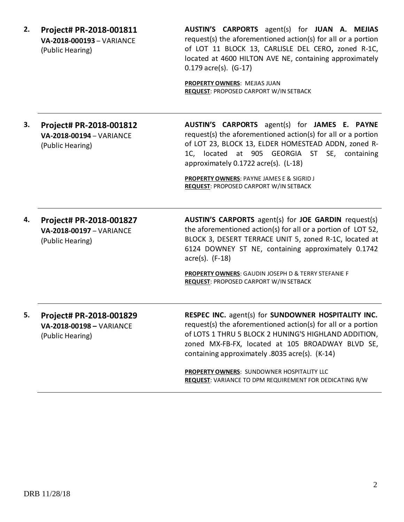| 2. | Project# PR-2018-001811<br>VA-2018-000193 - VARIANCE<br>(Public Hearing) | AUSTIN'S CARPORTS agent(s) for JUAN A. MEJIAS<br>request(s) the aforementioned action(s) for all or a portion<br>of LOT 11 BLOCK 13, CARLISLE DEL CERO, zoned R-1C,<br>located at 4600 HILTON AVE NE, containing approximately<br>$0.179$ acre(s). $(G-17)$                       |  |
|----|--------------------------------------------------------------------------|-----------------------------------------------------------------------------------------------------------------------------------------------------------------------------------------------------------------------------------------------------------------------------------|--|
|    |                                                                          | PROPERTY OWNERS: MEJIAS JUAN<br><b>REQUEST: PROPOSED CARPORT W/IN SETBACK</b>                                                                                                                                                                                                     |  |
| З. | Project# PR-2018-001812<br>VA-2018-00194 - VARIANCE<br>(Public Hearing)  | AUSTIN'S CARPORTS agent(s) for JAMES E. PAYNE<br>request(s) the aforementioned action(s) for all or a portion<br>of LOT 23, BLOCK 13, ELDER HOMESTEAD ADDN, zoned R-<br>1C, located at 905 GEORGIA ST SE, containing<br>approximately 0.1722 acre(s). (L-18)                      |  |
|    |                                                                          | <b>PROPERTY OWNERS: PAYNE JAMES E &amp; SIGRID J</b><br><b>REQUEST: PROPOSED CARPORT W/IN SETBACK</b>                                                                                                                                                                             |  |
| 4. | Project# PR-2018-001827<br>VA-2018-00197 - VARIANCE<br>(Public Hearing)  | <b>AUSTIN'S CARPORTS</b> agent(s) for <b>JOE GARDIN</b> request(s)<br>the aforementioned action(s) for all or a portion of LOT 52,<br>BLOCK 3, DESERT TERRACE UNIT 5, zoned R-1C, located at<br>6124 DOWNEY ST NE, containing approximately 0.1742<br>$\arccos(5)$ . (F-18)       |  |
|    |                                                                          | PROPERTY OWNERS: GAUDIN JOSEPH D & TERRY STEFANIE F<br><b>REQUEST: PROPOSED CARPORT W/IN SETBACK</b>                                                                                                                                                                              |  |
| 5. | Project# PR-2018-001829<br>VA-2018-00198 - VARIANCE<br>(Public Hearing)  | RESPEC INC. agent(s) for SUNDOWNER HOSPITALITY INC.<br>request(s) the aforementioned action(s) for all or a portion<br>of LOTS 1 THRU 5 BLOCK 2 HUNING'S HIGHLAND ADDITION,<br>zoned MX-FB-FX, located at 105 BROADWAY BLVD SE,<br>containing approximately .8035 acre(s). (K-14) |  |
|    |                                                                          | <b>PROPERTY OWNERS: SUNDOWNER HOSPITALITY LLC</b><br><b>REQUEST:</b> VARIANCE TO DPM REQUIREMENT FOR DEDICATING R/W                                                                                                                                                               |  |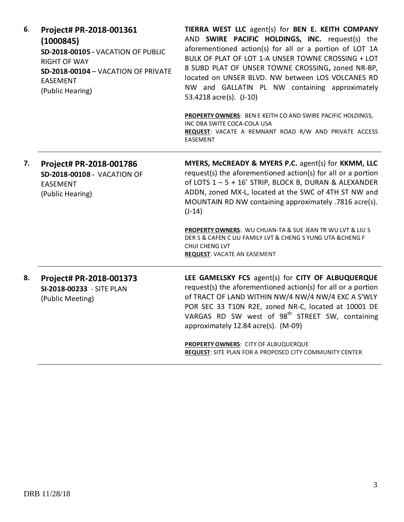| 6.<br>(1000845)<br><b>RIGHT OF WAY</b><br><b>EASEMENT</b><br>(Public Hearing) | Project# PR-2018-001361<br>SD-2018-00105 - VACATION OF PUBLIC<br>SD-2018-00104 - VACATION OF PRIVATE | TIERRA WEST LLC agent(s) for BEN E. KEITH COMPANY<br>AND SWIRE PACIFIC HOLDINGS, INC. request(s) the<br>aforementioned action(s) for all or a portion of LOT 1A<br>BULK OF PLAT OF LOT 1-A UNSER TOWNE CROSSING + LOT<br>8 SUBD PLAT OF UNSER TOWNE CROSSING, zoned NR-BP,<br>located on UNSER BLVD. NW between LOS VOLCANES RD<br>NW and GALLATIN PL NW containing approximately<br>53.4218 acre(s). (J-10) |
|-------------------------------------------------------------------------------|------------------------------------------------------------------------------------------------------|--------------------------------------------------------------------------------------------------------------------------------------------------------------------------------------------------------------------------------------------------------------------------------------------------------------------------------------------------------------------------------------------------------------|
|                                                                               |                                                                                                      | PROPERTY OWNERS: BEN E KEITH CO AND SWIRE PACIFIC HOLDINGS,<br>INC DBA SWITE COCA-COLA USA<br>REQUEST: VACATE A REMNANT ROAD R/W AND PRIVATE ACCESS<br><b>EASEMENT</b>                                                                                                                                                                                                                                       |
| 7.                                                                            | Project# PR-2018-001786<br><b>SD-2018-00108 - VACATION OF</b><br><b>EASEMENT</b><br>(Public Hearing) | MYERS, McCREADY & MYERS P.C. agent(s) for KKMM, LLC<br>request(s) the aforementioned action(s) for all or a portion<br>of LOTS 1 - 5 + 16' STRIP, BLOCK B, DURAN & ALEXANDER<br>ADDN, zoned MX-L, located at the SWC of 4TH ST NW and<br>MOUNTAIN RD NW containing approximately .7816 acre(s).<br>$(J-14)$                                                                                                  |
|                                                                               |                                                                                                      | PROPERTY OWNERS: WU CHUAN-TA & SUE JEAN TR WU LVT & LIU S<br>DER S & CAFEN C LIU FAMILY LVT & CHENG S YUNG UTA & CHENG F<br><b>CHUI CHENG LVT</b><br><b>REQUEST: VACATE AN EASEMENT</b>                                                                                                                                                                                                                      |
| 8.                                                                            | Project# PR-2018-001373<br>SI-2018-00233 - SITE PLAN<br>(Public Meeting)                             | LEE GAMELSKY FCS agent(s) for CITY OF ALBUQUERQUE<br>request(s) the aforementioned action(s) for all or a portion<br>of TRACT OF LAND WITHIN NW/4 NW/4 NW/4 EXC A S'WLY<br>POR SEC 33 T10N R2E, zoned NR-C, located at 10001 DE<br>VARGAS RD SW west of 98 <sup>th</sup> STREET SW, containing<br>approximately 12.84 acre(s). (M-09)                                                                        |
|                                                                               |                                                                                                      | PROPERTY OWNERS: CITY OF ALBUQUERQUE<br>REQUEST: SITE PLAN FOR A PROPOSED CITY COMMUNITY CENTER                                                                                                                                                                                                                                                                                                              |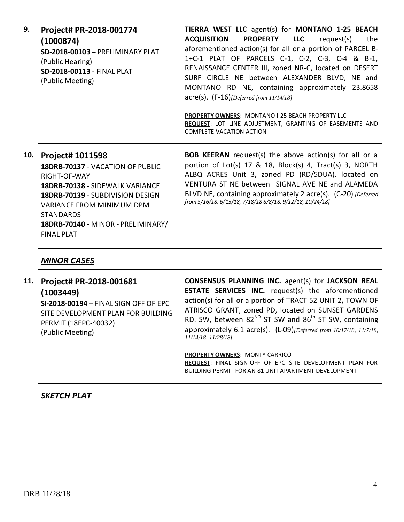| TIERRA WEST LLC agent(s) for MONTANO 1-25 BEACH                                                         |
|---------------------------------------------------------------------------------------------------------|
| <b>PROPERTY LLC</b><br><b>ACQUISITION</b><br>request(s) the                                             |
| aforementioned action(s) for all or a portion of PARCEL B-                                              |
| 1+C-1 PLAT OF PARCELS C-1, C-2, C-3, C-4 & B-1,                                                         |
| RENAISSANCE CENTER III, zoned NR-C, located on DESERT                                                   |
| SURF CIRCLE NE between ALEXANDER BLVD, NE and                                                           |
| MONTANO RD NE, containing approximately 23.8658<br>$\text{acre}(s)$ . $(F-16)$ [Deferred from 11/14/18] |
|                                                                                                         |

**PROPERTY OWNERS**: MONTANO I-25 BEACH PROPERTY LLC **REQUEST**: LOT LINE ADJUSTMENT, GRANTING OF EASEMENTS AND COMPLETE VACATION ACTION

### **10. Project# 1011598 18DRB-70137** - VACATION OF PUBLIC RIGHT-OF-WAY **18DRB-70138** - SIDEWALK VARIANCE **18DRB-70139** - SUBDIVISION DESIGN VARIANCE FROM MINIMUM DPM **STANDARDS 18DRB-70140** - MINOR - PRELIMINARY/ FINAL PLAT

**BOB KEERAN** request(s) the above action(s) for all or a portion of Lot(s) 17 & 18, Block(s) 4, Tract(s) 3, NORTH ALBQ ACRES Unit 3**,** zoned PD (RD/5DUA), located on VENTURA ST NE between SIGNAL AVE NE and ALAMEDA BLVD NE, containing approximately 2 acre(s). (C-20) *[Deferred from 5/16/18, 6/13/18, 7/18/18 8/8/18, 9/12/18, 10/24/18]*

#### *MINOR CASES*

## **11. Project# PR-2018-001681 (1003449)**

**SI-2018-00194** – FINAL SIGN OFF OF EPC SITE DEVELOPMENT PLAN FOR BUILDING PERMIT (18EPC-40032) (Public Meeting)

**CONSENSUS PLANNING INC.** agent(s) for **JACKSON REAL ESTATE SERVICES INC.** request(s) the aforementioned action(s) for all or a portion of TRACT 52 UNIT 2**,** TOWN OF ATRISCO GRANT, zoned PD, located on SUNSET GARDENS RD. SW, between  $82^{ND}$  ST SW and  $86^{th}$  ST SW, containing approximately 6.1 acre(s). (L-09)*[Deferred from 10/17/18, 11/7/18, 11/14/18, 11/28/18]*

**PROPERTY OWNERS**: MONTY CARRICO **REQUEST**: FINAL SIGN-OFF OF EPC SITE DEVELOPMENT PLAN FOR BUILDING PERMIT FOR AN 81 UNIT APARTMENT DEVELOPMENT

#### *SKETCH PLAT*